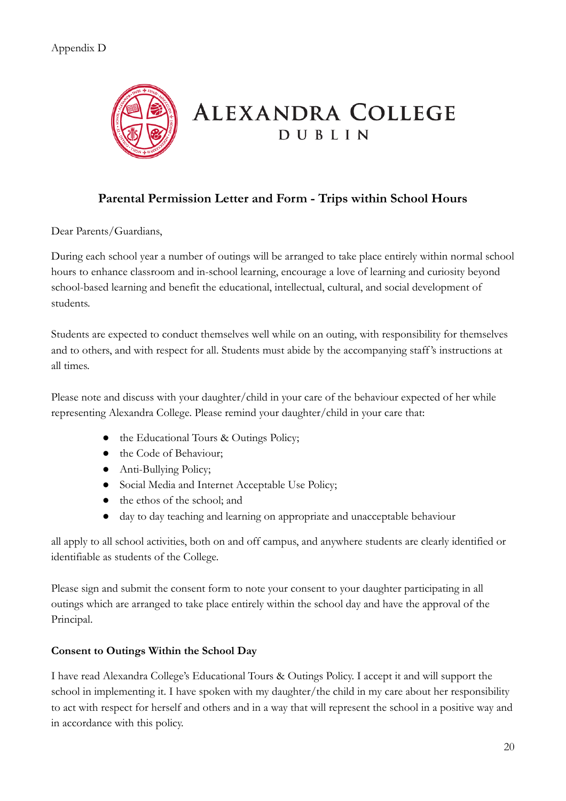

## **Parental Permission Letter and Form - Trips within School Hours**

Dear Parents/Guardians,

During each school year a number of outings will be arranged to take place entirely within normal school hours to enhance classroom and in-school learning, encourage a love of learning and curiosity beyond school-based learning and benefit the educational, intellectual, cultural, and social development of students.

Students are expected to conduct themselves well while on an outing, with responsibility for themselves and to others, and with respect for all. Students must abide by the accompanying staff's instructions at all times.

Please note and discuss with your daughter/child in your care of the behaviour expected of her while representing Alexandra College. Please remind your daughter/child in your care that:

- the Educational Tours & Outings Policy;
- the Code of Behaviour;
- Anti-Bullying Policy;
- Social Media and Internet Acceptable Use Policy;
- the ethos of the school; and
- day to day teaching and learning on appropriate and unacceptable behaviour

all apply to all school activities, both on and off campus, and anywhere students are clearly identified or identifiable as students of the College.

Please sign and submit the consent form to note your consent to your daughter participating in all outings which are arranged to take place entirely within the school day and have the approval of the Principal.

## **Consent to Outings Within the School Day**

I have read Alexandra College's Educational Tours & Outings Policy. I accept it and will support the school in implementing it. I have spoken with my daughter/the child in my care about her responsibility to act with respect for herself and others and in a way that will represent the school in a positive way and in accordance with this policy.